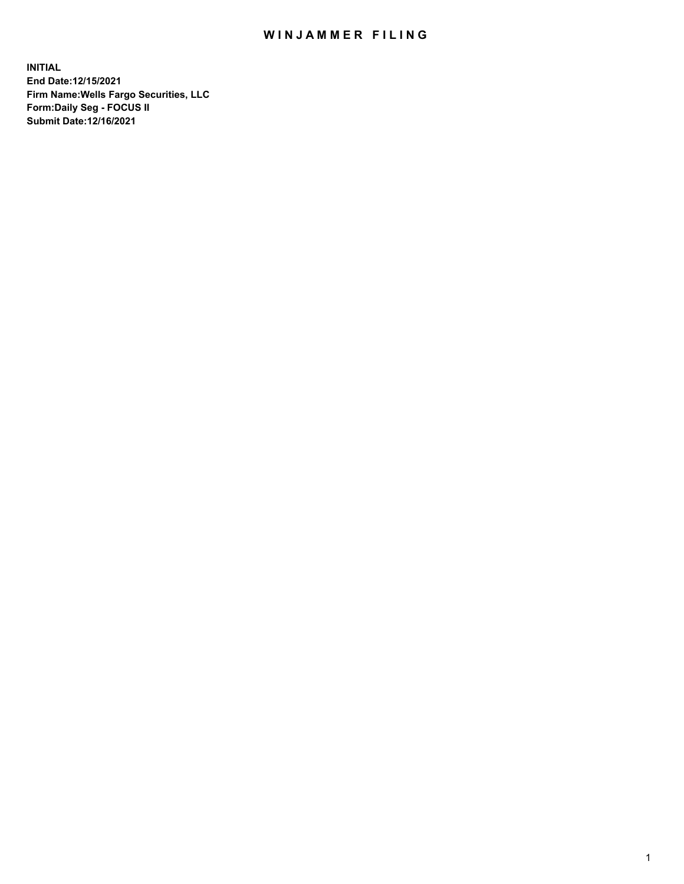## WIN JAMMER FILING

**INITIAL End Date:12/15/2021 Firm Name:Wells Fargo Securities, LLC Form:Daily Seg - FOCUS II Submit Date:12/16/2021**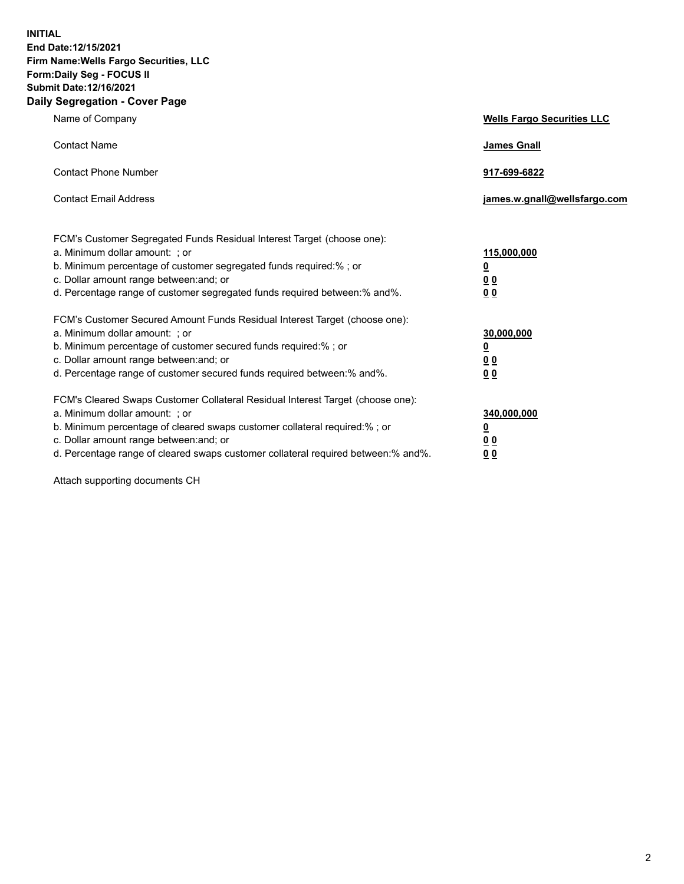**INITIAL End Date:12/15/2021 Firm Name:Wells Fargo Securities, LLC Form:Daily Seg - FOCUS II Submit Date:12/16/2021 Daily Segregation - Cover Page**

| Name of Company                                                                                                                                                                                                                                                                                                                | <b>Wells Fargo Securities LLC</b>                          |
|--------------------------------------------------------------------------------------------------------------------------------------------------------------------------------------------------------------------------------------------------------------------------------------------------------------------------------|------------------------------------------------------------|
| <b>Contact Name</b>                                                                                                                                                                                                                                                                                                            | <b>James Gnall</b>                                         |
| <b>Contact Phone Number</b>                                                                                                                                                                                                                                                                                                    | 917-699-6822                                               |
| <b>Contact Email Address</b>                                                                                                                                                                                                                                                                                                   | james.w.gnall@wellsfargo.com                               |
| FCM's Customer Segregated Funds Residual Interest Target (choose one):<br>a. Minimum dollar amount: ; or<br>b. Minimum percentage of customer segregated funds required:% ; or<br>c. Dollar amount range between: and; or<br>d. Percentage range of customer segregated funds required between: % and %.                       | 115,000,000<br><u>0</u><br><u>00</u><br>0 <sub>0</sub>     |
| FCM's Customer Secured Amount Funds Residual Interest Target (choose one):<br>a. Minimum dollar amount: ; or<br>b. Minimum percentage of customer secured funds required:% ; or<br>c. Dollar amount range between: and; or<br>d. Percentage range of customer secured funds required between: % and %.                         | 30,000,000<br><u>0</u><br>0 <sub>0</sub><br>0 <sub>0</sub> |
| FCM's Cleared Swaps Customer Collateral Residual Interest Target (choose one):<br>a. Minimum dollar amount: ; or<br>b. Minimum percentage of cleared swaps customer collateral required:% ; or<br>c. Dollar amount range between: and; or<br>d. Percentage range of cleared swaps customer collateral required between:% and%. | 340,000,000<br><u>0</u><br>00<br><u>00</u>                 |

Attach supporting documents CH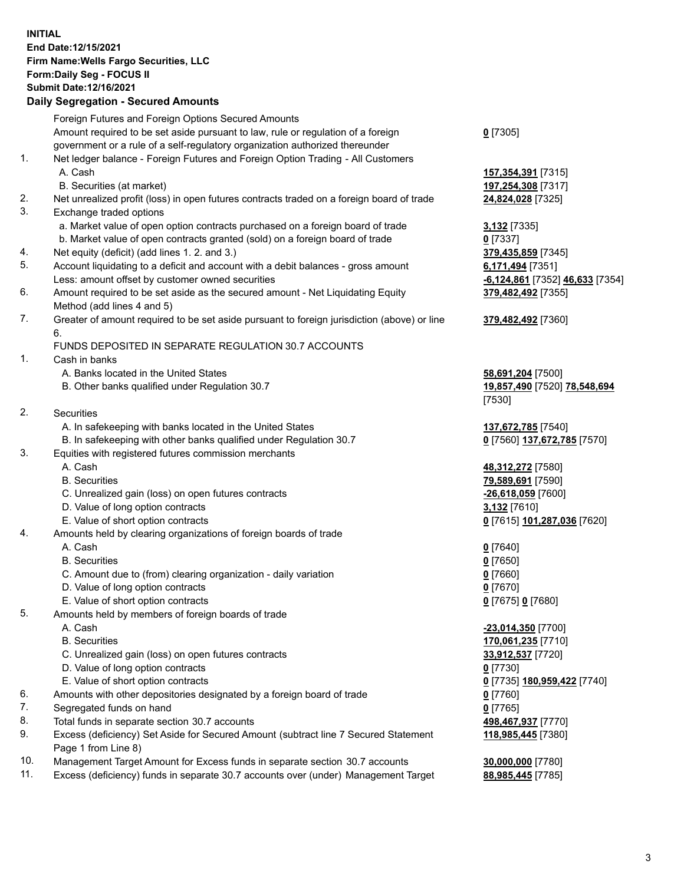**INITIAL End Date:12/15/2021 Firm Name:Wells Fargo Securities, LLC Form:Daily Seg - FOCUS II Submit Date:12/16/2021**

## **Daily Segregation - Secured Amounts**

|     | Foreign Futures and Foreign Options Secured Amounts                                         |                                        |
|-----|---------------------------------------------------------------------------------------------|----------------------------------------|
|     | Amount required to be set aside pursuant to law, rule or regulation of a foreign            | $0$ [7305]                             |
|     | government or a rule of a self-regulatory organization authorized thereunder                |                                        |
| 1.  | Net ledger balance - Foreign Futures and Foreign Option Trading - All Customers             |                                        |
|     | A. Cash                                                                                     | 157,354,391 [7315]                     |
|     | B. Securities (at market)                                                                   | 197,254,308 [7317]                     |
| 2.  | Net unrealized profit (loss) in open futures contracts traded on a foreign board of trade   | 24,824,028 [7325]                      |
| 3.  | Exchange traded options                                                                     |                                        |
|     | a. Market value of open option contracts purchased on a foreign board of trade              | 3,132 <sub>[7335]</sub>                |
|     | b. Market value of open contracts granted (sold) on a foreign board of trade                | $0$ [7337]                             |
| 4.  | Net equity (deficit) (add lines 1. 2. and 3.)                                               | 379,435,859 [7345]                     |
| 5.  | Account liquidating to a deficit and account with a debit balances - gross amount           | 6,171,494 [7351]                       |
|     | Less: amount offset by customer owned securities                                            | -6,124,861 [7352] 46,633 [7354]        |
| 6.  | Amount required to be set aside as the secured amount - Net Liquidating Equity              | 379,482,492 [7355]                     |
|     | Method (add lines 4 and 5)                                                                  |                                        |
| 7.  | Greater of amount required to be set aside pursuant to foreign jurisdiction (above) or line | 379,482,492 [7360]                     |
|     | 6.                                                                                          |                                        |
|     | FUNDS DEPOSITED IN SEPARATE REGULATION 30.7 ACCOUNTS                                        |                                        |
| 1.  | Cash in banks                                                                               |                                        |
|     | A. Banks located in the United States                                                       | 58,691,204 [7500]                      |
|     | B. Other banks qualified under Regulation 30.7                                              | 19,857,490 [7520] 78,548,694           |
|     |                                                                                             | [7530]                                 |
| 2.  | Securities                                                                                  |                                        |
|     | A. In safekeeping with banks located in the United States                                   | 137,672,785 [7540]                     |
|     | B. In safekeeping with other banks qualified under Regulation 30.7                          |                                        |
| 3.  | Equities with registered futures commission merchants                                       | 0 [7560] 137,672,785 [7570]            |
|     | A. Cash                                                                                     |                                        |
|     | <b>B.</b> Securities                                                                        | 48,312,272 [7580]<br>79,589,691 [7590] |
|     |                                                                                             |                                        |
|     | C. Unrealized gain (loss) on open futures contracts                                         | -26,618,059 [7600]                     |
|     | D. Value of long option contracts                                                           | 3,132 [7610]                           |
| 4.  | E. Value of short option contracts                                                          | 0 [7615] 101,287,036 [7620]            |
|     | Amounts held by clearing organizations of foreign boards of trade<br>A. Cash                |                                        |
|     | <b>B.</b> Securities                                                                        | $0$ [7640]                             |
|     |                                                                                             | $0$ [7650]                             |
|     | C. Amount due to (from) clearing organization - daily variation                             | $0$ [7660]                             |
|     | D. Value of long option contracts                                                           | $0$ [7670]                             |
|     | E. Value of short option contracts                                                          | 0 [7675] 0 [7680]                      |
| 5.  | Amounts held by members of foreign boards of trade                                          |                                        |
|     | A. Cash                                                                                     | -23,014,350 [7700]                     |
|     | <b>B.</b> Securities                                                                        | 170,061,235 [7710]                     |
|     | C. Unrealized gain (loss) on open futures contracts                                         | 33,912,537 [7720]                      |
|     | D. Value of long option contracts                                                           | $0$ [7730]                             |
|     | E. Value of short option contracts                                                          | 0 [7735] 180,959,422 [7740]            |
| 6.  | Amounts with other depositories designated by a foreign board of trade                      | $0$ [7760]                             |
| 7.  | Segregated funds on hand                                                                    | $0$ [7765]                             |
| 8.  | Total funds in separate section 30.7 accounts                                               | 498,467,937 [7770]                     |
| 9.  | Excess (deficiency) Set Aside for Secured Amount (subtract line 7 Secured Statement         | 118,985,445 [7380]                     |
|     | Page 1 from Line 8)                                                                         |                                        |
| 10. | Management Target Amount for Excess funds in separate section 30.7 accounts                 | 30,000,000 [7780]                      |

11. Excess (deficiency) funds in separate 30.7 accounts over (under) Management Target **88,985,445** [7785]

3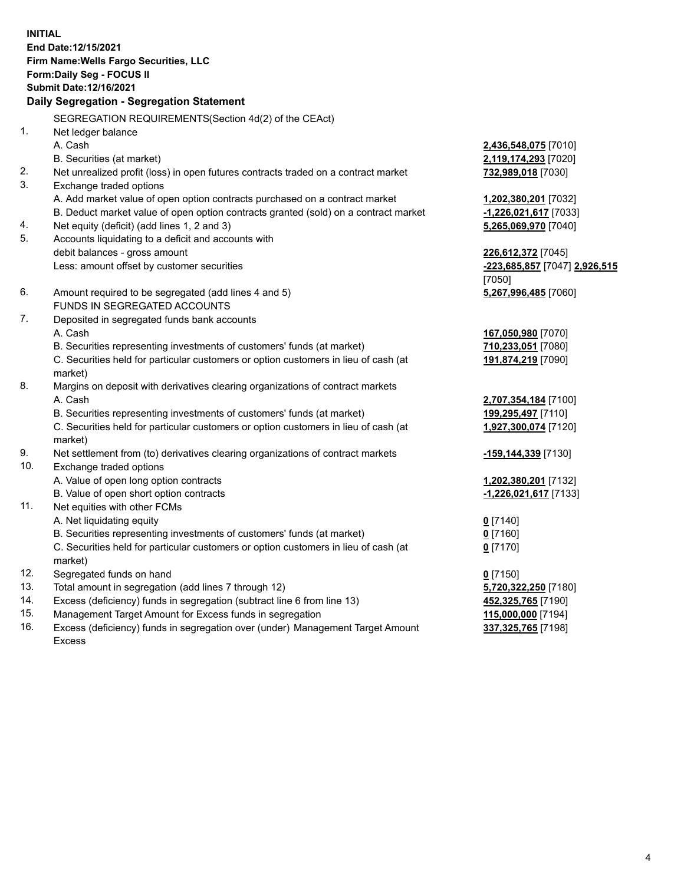**INITIAL End Date:12/15/2021 Firm Name:Wells Fargo Securities, LLC Form:Daily Seg - FOCUS II Submit Date:12/16/2021**

## **Daily Segregation - Segregation Statement**

SEGREGATION REQUIREMENTS(Section 4d(2) of the CEAct)

| 1.         | Net ledger balance                                                                  |                               |
|------------|-------------------------------------------------------------------------------------|-------------------------------|
|            | A. Cash                                                                             | 2,436,548,075 [7010]          |
|            | B. Securities (at market)                                                           | 2,119,174,293 [7020]          |
| 2.         | Net unrealized profit (loss) in open futures contracts traded on a contract market  | 732,989,018 [7030]            |
| 3.         | Exchange traded options                                                             |                               |
|            | A. Add market value of open option contracts purchased on a contract market         | 1,202,380,201 [7032]          |
|            | B. Deduct market value of open option contracts granted (sold) on a contract market | -1,226,021,617 [7033]         |
| 4.         | Net equity (deficit) (add lines 1, 2 and 3)                                         | 5,265,069,970 [7040]          |
| 5.         | Accounts liquidating to a deficit and accounts with                                 |                               |
|            | debit balances - gross amount                                                       |                               |
|            | Less: amount offset by customer securities                                          | 226,612,372 [7045]            |
|            |                                                                                     | -223,685,857 [7047] 2,926,515 |
|            |                                                                                     | [7050]                        |
| 6.         | Amount required to be segregated (add lines 4 and 5)                                | 5,267,996,485 [7060]          |
|            | FUNDS IN SEGREGATED ACCOUNTS                                                        |                               |
| 7.         | Deposited in segregated funds bank accounts                                         |                               |
|            | A. Cash                                                                             | 167,050,980 [7070]            |
|            | B. Securities representing investments of customers' funds (at market)              | 710,233,051 [7080]            |
|            | C. Securities held for particular customers or option customers in lieu of cash (at | 191,874,219 [7090]            |
|            | market)                                                                             |                               |
| 8.         | Margins on deposit with derivatives clearing organizations of contract markets      |                               |
|            | A. Cash                                                                             | 2,707,354,184 [7100]          |
|            | B. Securities representing investments of customers' funds (at market)              | 199,295,497 [7110]            |
|            | C. Securities held for particular customers or option customers in lieu of cash (at | 1,927,300,074 [7120]          |
|            | market)                                                                             |                               |
| 9.         | Net settlement from (to) derivatives clearing organizations of contract markets     | -159,144,339 [7130]           |
| 10.        | Exchange traded options                                                             |                               |
|            | A. Value of open long option contracts                                              | 1,202,380,201 [7132]          |
| 11.        | B. Value of open short option contracts                                             | -1,226,021,617 [7133]         |
|            | Net equities with other FCMs                                                        |                               |
|            | A. Net liquidating equity                                                           | $0$ [7140]                    |
|            | B. Securities representing investments of customers' funds (at market)              | $0$ [7160]                    |
|            | C. Securities held for particular customers or option customers in lieu of cash (at | $0$ [7170]                    |
|            | market)                                                                             |                               |
| 12.        | Segregated funds on hand                                                            | $0$ [7150]                    |
| 13.<br>14. | Total amount in segregation (add lines 7 through 12)                                | 5,720,322,250 [7180]          |
| 15.        | Excess (deficiency) funds in segregation (subtract line 6 from line 13)             | 452,325,765 [7190]            |
|            | Management Target Amount for Excess funds in segregation                            | 115,000,000 [7194]            |
| 16.        | Excess (deficiency) funds in segregation over (under) Management Target Amount      | 337,325,765 [7198]            |
|            | Excess                                                                              |                               |